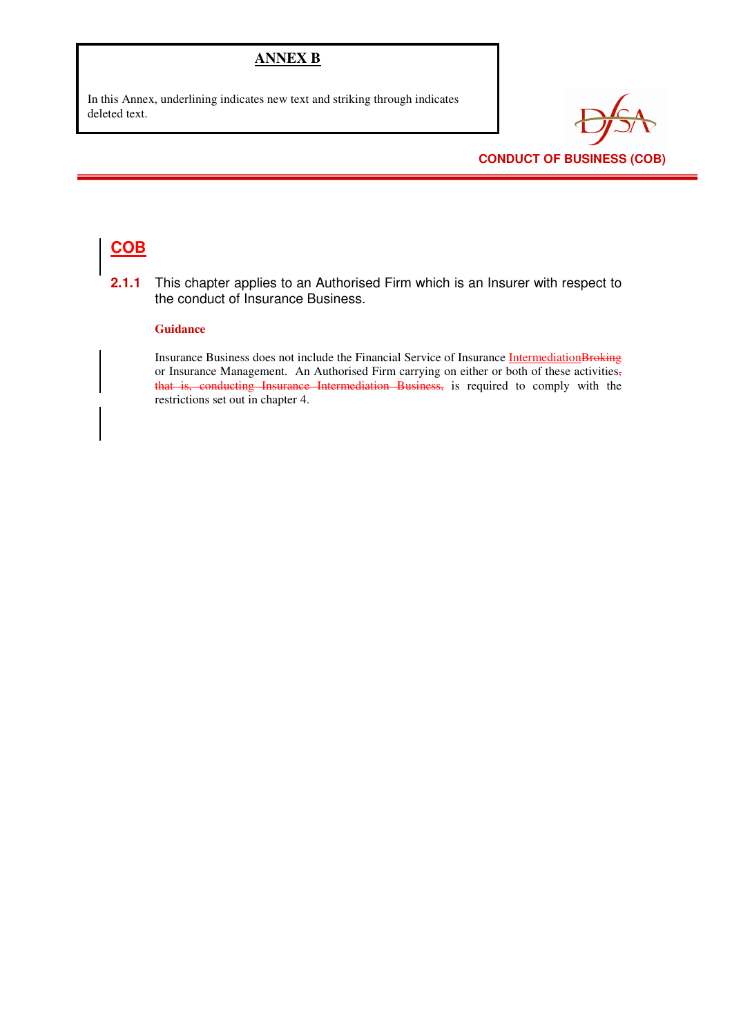### **ANNEX B**

In this Annex, underlining indicates new text and striking through indicates deleted text.



### **CONDUCT OF BUSINESS (COB)**

# **COB**

**2.1.1** This chapter applies to an Authorised Firm which is an Insurer with respect to the conduct of Insurance Business.

#### **Guidance**

Insurance Business does not include the Financial Service of Insurance IntermediationBroking or Insurance Management. An Authorised Firm carrying on either or both of these activities, that is, conducting Insurance Intermediation Business, is required to comply with the restrictions set out in chapter 4.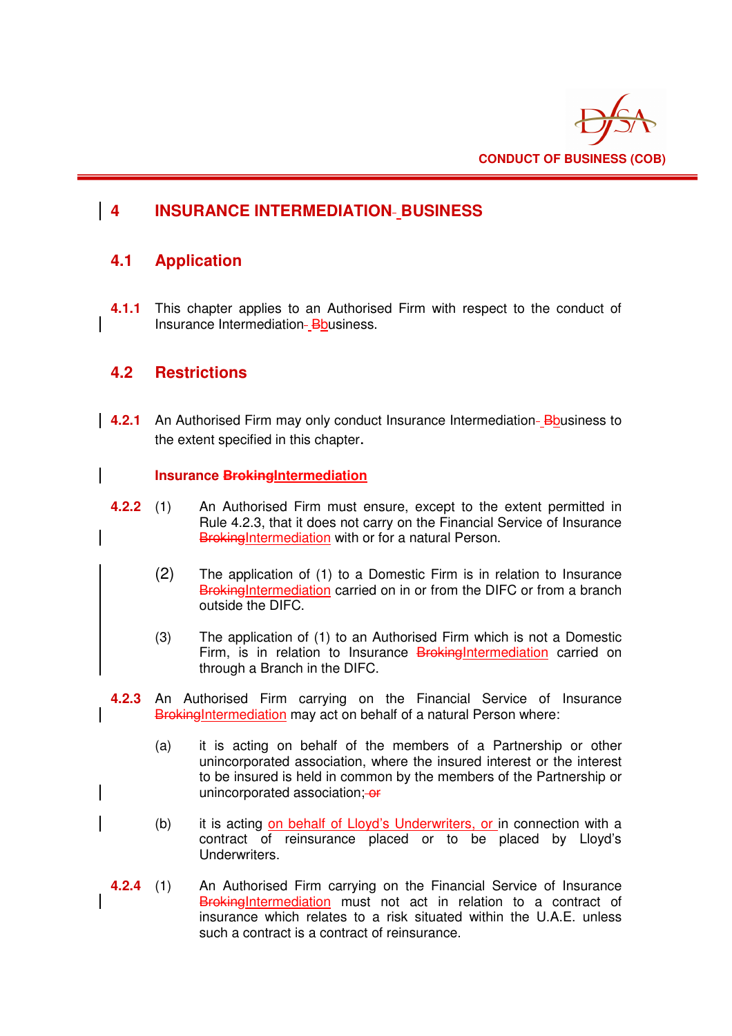

# **4 INSURANCE INTERMEDIATION BUSINESS**

## **4.1 Application**

**4.1.1** This chapter applies to an Authorised Firm with respect to the conduct of Insurance Intermediation-Bbusiness.

## **4.2 Restrictions**

**4.2.1** An Authorised Firm may only conduct Insurance Intermediation-Bousiness to the extent specified in this chapter.

### **Insurance BrokingIntermediation**

- **4.2.2** (1) An Authorised Firm must ensure, except to the extent permitted in Rule 4.2.3, that it does not carry on the Financial Service of Insurance BrokingIntermediation with or for a natural Person.
	- (2) The application of (1) to a Domestic Firm is in relation to Insurance BrokingIntermediation carried on in or from the DIFC or from a branch outside the DIFC.
	- (3) The application of (1) to an Authorised Firm which is not a Domestic Firm, is in relation to Insurance BrokingIntermediation carried on through a Branch in the DIFC.
- **4.2.3** An Authorised Firm carrying on the Financial Service of Insurance BrokingIntermediation may act on behalf of a natural Person where:
	- (a) it is acting on behalf of the members of a Partnership or other unincorporated association, where the insured interest or the interest to be insured is held in common by the members of the Partnership or unincorporated association: - or
	- (b) it is acting on behalf of Lloyd's Underwriters, or in connection with a contract of reinsurance placed or to be placed by Lloyd's Underwriters.
- **4.2.4** (1) An Authorised Firm carrying on the Financial Service of Insurance BrokingIntermediation must not act in relation to a contract of insurance which relates to a risk situated within the U.A.E. unless such a contract is a contract of reinsurance.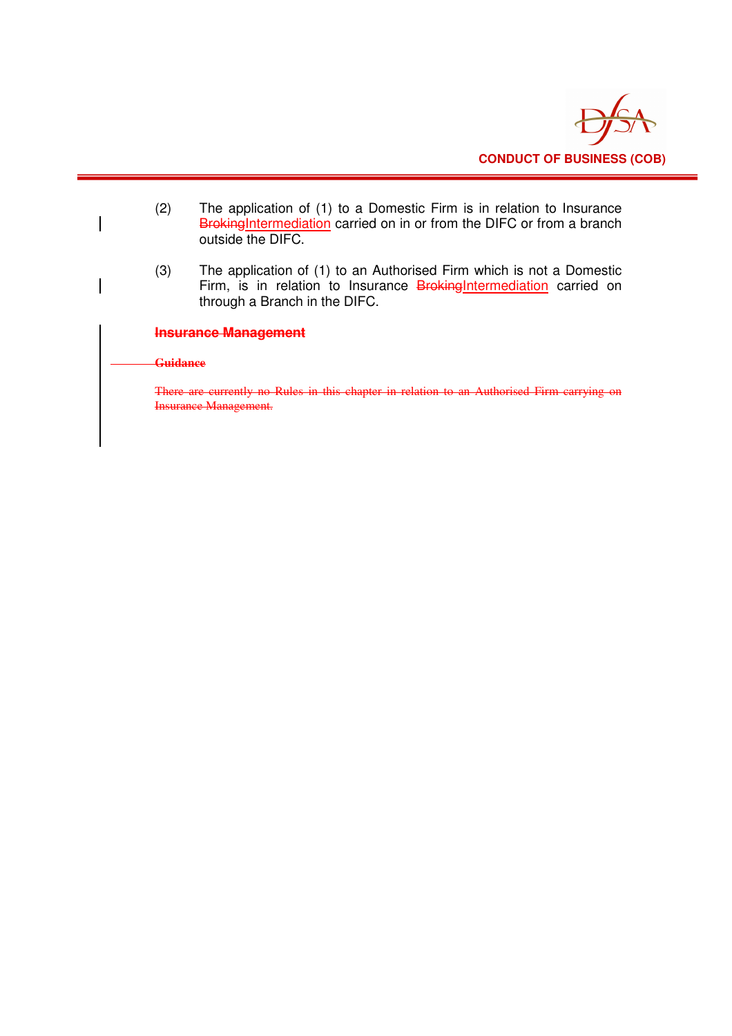

- (2) The application of (1) to a Domestic Firm is in relation to Insurance BrokingIntermediation carried on in or from the DIFC or from a branch outside the DIFC.
- (3) The application of (1) to an Authorised Firm which is not a Domestic Firm, is in relation to Insurance BrokingIntermediation carried on through a Branch in the DIFC.

### **Insurance Management**

#### **Guidance**

There are currently no Rules in this chapter in relation to an Authorised Firm carrying on Insurance Management.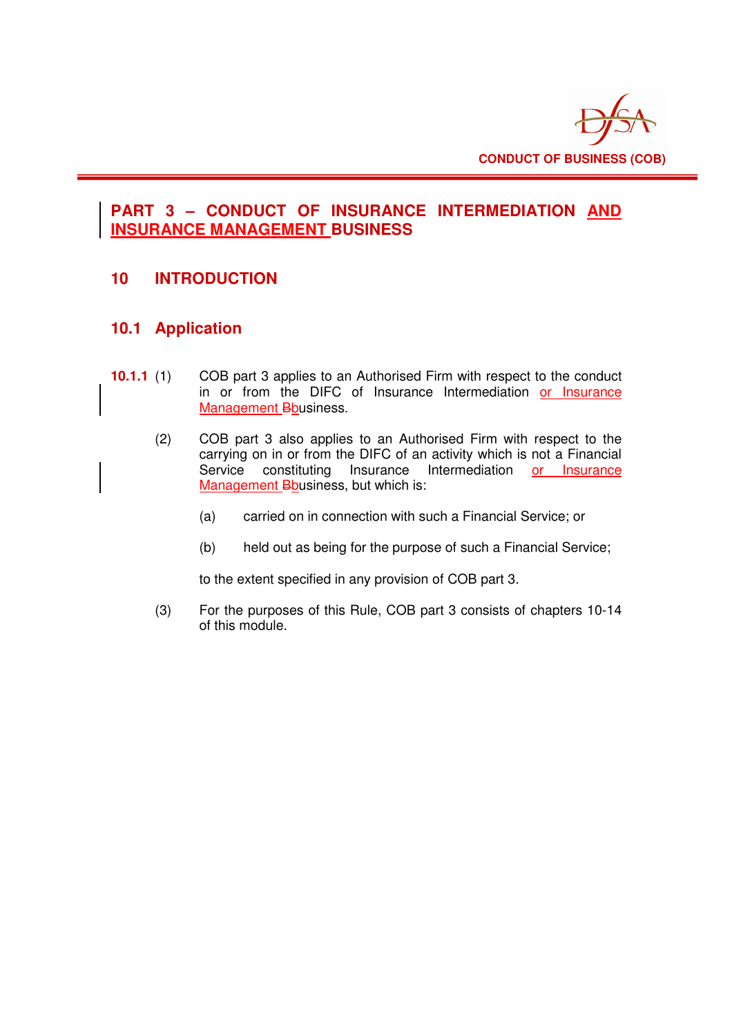

## **PART 3 – CONDUCT OF INSURANCE INTERMEDIATION AND INSURANCE MANAGEMENT BUSINESS**

## **10 INTRODUCTION**

### **10.1 Application**

- **10.1.1** (1) COB part 3 applies to an Authorised Firm with respect to the conduct in or from the DIFC of Insurance Intermediation or Insurance Management Bbusiness.
	- (2) COB part 3 also applies to an Authorised Firm with respect to the carrying on in or from the DIFC of an activity which is not a Financial Service constituting Insurance Intermediation or Insurance Management Bbusiness, but which is:
		- (a) carried on in connection with such a Financial Service; or
		- (b) held out as being for the purpose of such a Financial Service;

to the extent specified in any provision of COB part 3.

(3) For the purposes of this Rule, COB part 3 consists of chapters 10-14 of this module.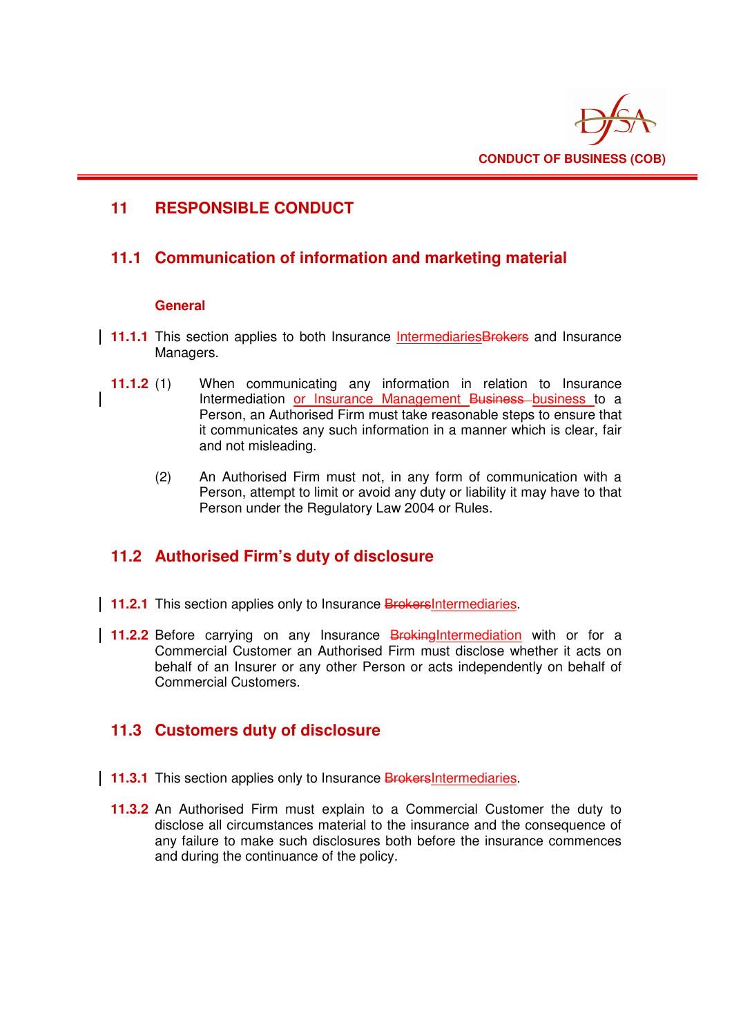

## **11 RESPONSIBLE CONDUCT**

## **11.1 Communication of information and marketing material**

### **General**

- **11.1.1** This section applies to both Insurance Intermediaries Brokers and Insurance Managers.
- **11.1.2** (1) When communicating any information in relation to Insurance Intermediation or Insurance Management Business-business to a Person, an Authorised Firm must take reasonable steps to ensure that it communicates any such information in a manner which is clear, fair and not misleading.
	- (2) An Authorised Firm must not, in any form of communication with a Person, attempt to limit or avoid any duty or liability it may have to that Person under the Regulatory Law 2004 or Rules.

# **11.2 Authorised Firm's duty of disclosure**

- **11.2.1** This section applies only to Insurance BrokersIntermediaries.
- **11.2.2** Before carrying on any Insurance **Broking Intermediation** with or for a Commercial Customer an Authorised Firm must disclose whether it acts on behalf of an Insurer or any other Person or acts independently on behalf of Commercial Customers.

## **11.3 Customers duty of disclosure**

- **11.3.1** This section applies only to Insurance **Brokers** Intermediaries.
	- **11.3.2** An Authorised Firm must explain to a Commercial Customer the duty to disclose all circumstances material to the insurance and the consequence of any failure to make such disclosures both before the insurance commences and during the continuance of the policy.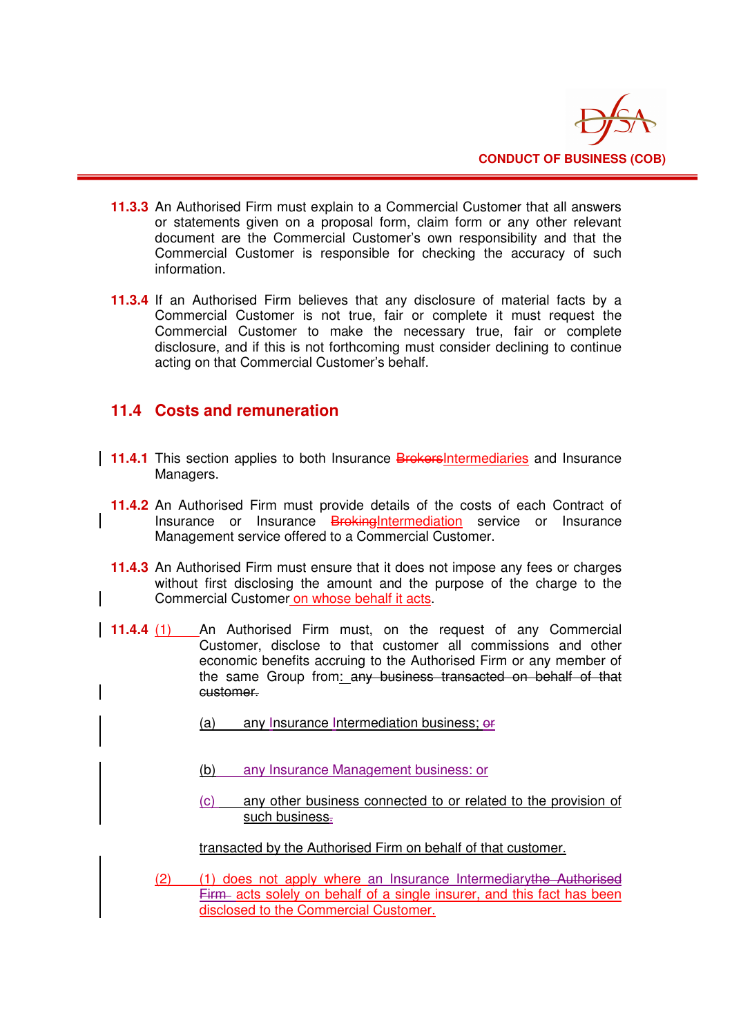

- **11.3.3** An Authorised Firm must explain to a Commercial Customer that all answers or statements given on a proposal form, claim form or any other relevant document are the Commercial Customer's own responsibility and that the Commercial Customer is responsible for checking the accuracy of such information.
- **11.3.4** If an Authorised Firm believes that any disclosure of material facts by a Commercial Customer is not true, fair or complete it must request the Commercial Customer to make the necessary true, fair or complete disclosure, and if this is not forthcoming must consider declining to continue acting on that Commercial Customer's behalf.

## **11.4 Costs and remuneration**

- **11.4.1** This section applies to both Insurance **BrokersIntermediaries** and Insurance Managers.
- **11.4.2** An Authorised Firm must provide details of the costs of each Contract of Insurance or Insurance BrokingIntermediation service or Insurance Management service offered to a Commercial Customer.
- **11.4.3** An Authorised Firm must ensure that it does not impose any fees or charges without first disclosing the amount and the purpose of the charge to the Commercial Customer on whose behalf it acts.
- **11.4.4** (1) An Authorised Firm must, on the request of any Commercial Customer, disclose to that customer all commissions and other economic benefits accruing to the Authorised Firm or any member of the same Group from: any business transacted on behalf of that customer.
	- (a) any Insurance Intermediation business; or
	- (b) any Insurance Management business: or
	- (c) any other business connected to or related to the provision of such business-

transacted by the Authorised Firm on behalf of that customer.

(2) (1) does not apply where an Insurance Intermediarythe Authorised Firm acts solely on behalf of a single insurer, and this fact has been disclosed to the Commercial Customer.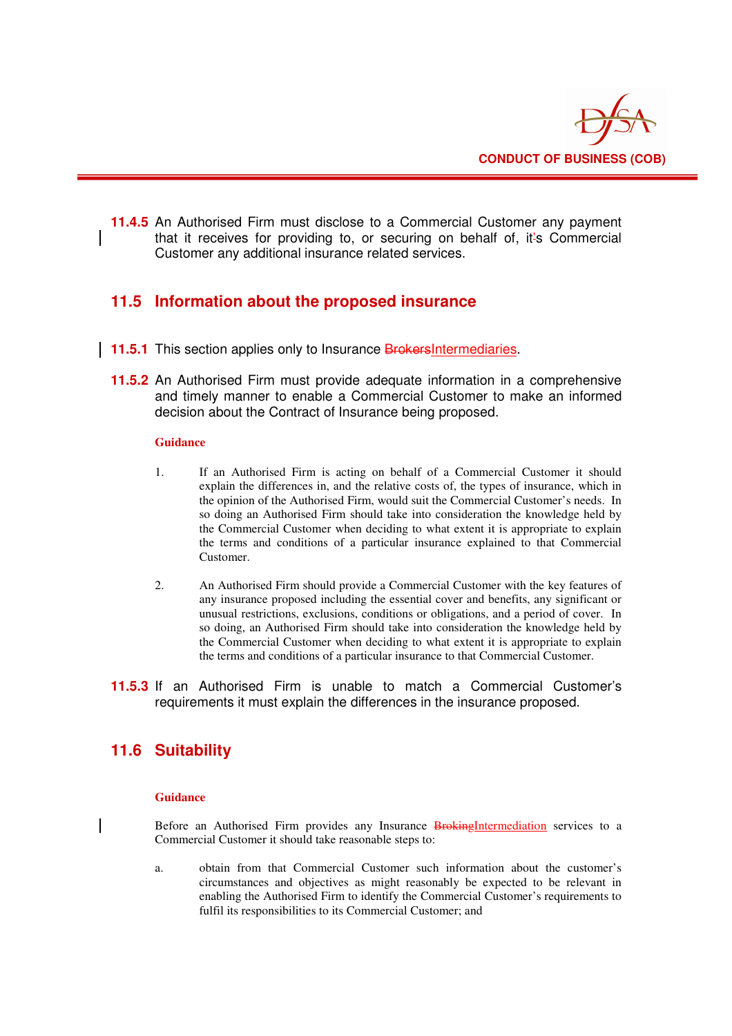

**11.4.5** An Authorised Firm must disclose to a Commercial Customer any payment that it receives for providing to, or securing on behalf of, it's Commercial Customer any additional insurance related services.

### **11.5 Information about the proposed insurance**

- **11.5.1** This section applies only to Insurance BrokersIntermediaries.
- **11.5.2** An Authorised Firm must provide adequate information in a comprehensive and timely manner to enable a Commercial Customer to make an informed decision about the Contract of Insurance being proposed.

#### **Guidance**

- 1. If an Authorised Firm is acting on behalf of a Commercial Customer it should explain the differences in, and the relative costs of, the types of insurance, which in the opinion of the Authorised Firm, would suit the Commercial Customer's needs. In so doing an Authorised Firm should take into consideration the knowledge held by the Commercial Customer when deciding to what extent it is appropriate to explain the terms and conditions of a particular insurance explained to that Commercial Customer.
- 2. An Authorised Firm should provide a Commercial Customer with the key features of any insurance proposed including the essential cover and benefits, any significant or unusual restrictions, exclusions, conditions or obligations, and a period of cover. In so doing, an Authorised Firm should take into consideration the knowledge held by the Commercial Customer when deciding to what extent it is appropriate to explain the terms and conditions of a particular insurance to that Commercial Customer.
- **11.5.3** If an Authorised Firm is unable to match a Commercial Customer's requirements it must explain the differences in the insurance proposed.

## **11.6 Suitability**

#### **Guidance**

Before an Authorised Firm provides any Insurance BrokingIntermediation services to a Commercial Customer it should take reasonable steps to:

a. obtain from that Commercial Customer such information about the customer's circumstances and objectives as might reasonably be expected to be relevant in enabling the Authorised Firm to identify the Commercial Customer's requirements to fulfil its responsibilities to its Commercial Customer; and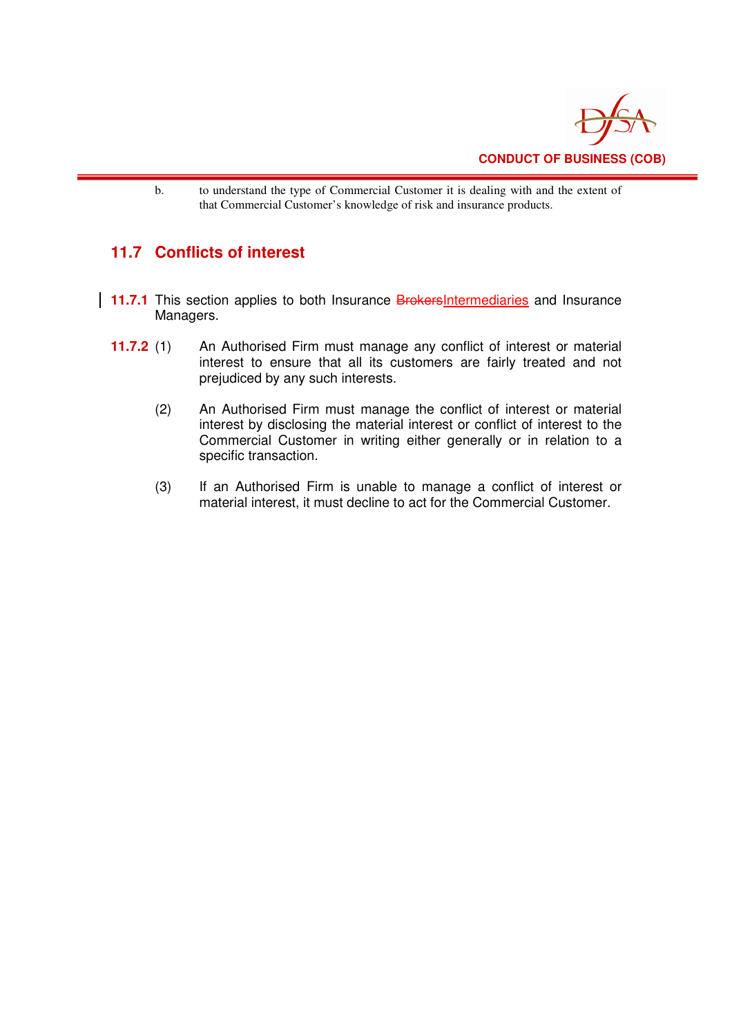

b. to understand the type of Commercial Customer it is dealing with and the extent of that Commercial Customer's knowledge of risk and insurance products.

# **11.7 Conflicts of interest**

- **11.7.1** This section applies to both Insurance **BrokersIntermediaries** and Insurance Managers.
- **11.7.2** (1) An Authorised Firm must manage any conflict of interest or material interest to ensure that all its customers are fairly treated and not prejudiced by any such interests.
	- (2) An Authorised Firm must manage the conflict of interest or material interest by disclosing the material interest or conflict of interest to the Commercial Customer in writing either generally or in relation to a specific transaction.
	- (3) If an Authorised Firm is unable to manage a conflict of interest or material interest, it must decline to act for the Commercial Customer.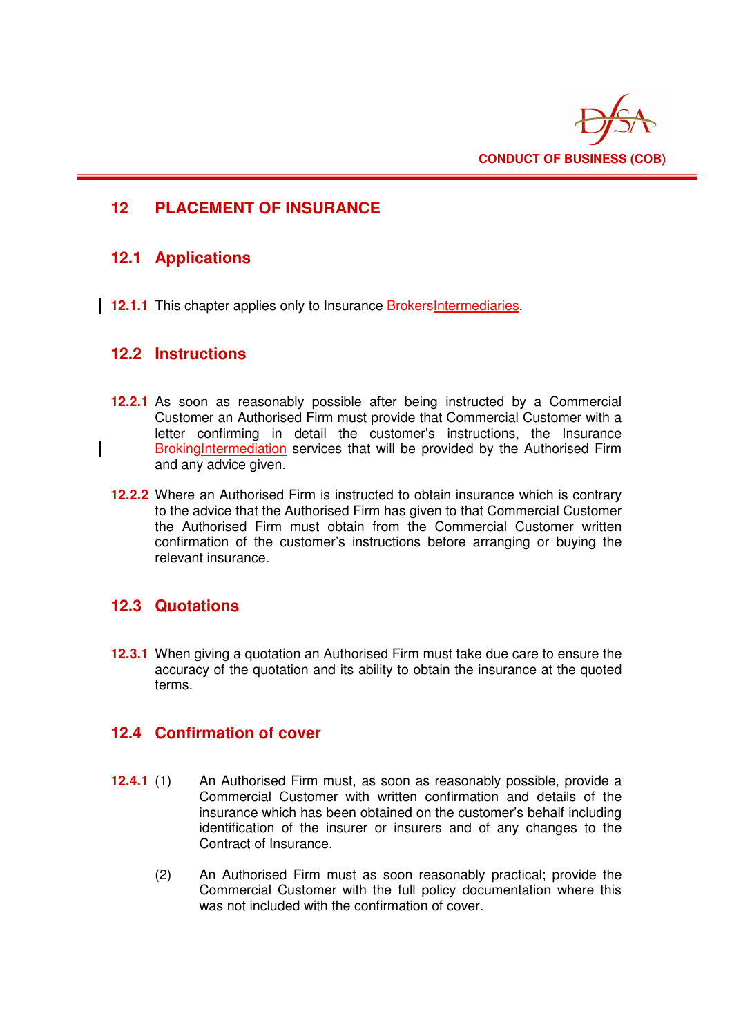

## **12 PLACEMENT OF INSURANCE**

### **12.1 Applications**

**12.1.1** This chapter applies only to Insurance **BrokersIntermediaries**.

### **12.2 Instructions**

- **12.2.1** As soon as reasonably possible after being instructed by a Commercial Customer an Authorised Firm must provide that Commercial Customer with a letter confirming in detail the customer's instructions, the Insurance BrokingIntermediation services that will be provided by the Authorised Firm and any advice given.
- **12.2.2** Where an Authorised Firm is instructed to obtain insurance which is contrary to the advice that the Authorised Firm has given to that Commercial Customer the Authorised Firm must obtain from the Commercial Customer written confirmation of the customer's instructions before arranging or buying the relevant insurance.

### **12.3 Quotations**

**12.3.1** When giving a quotation an Authorised Firm must take due care to ensure the accuracy of the quotation and its ability to obtain the insurance at the quoted terms.

### **12.4 Confirmation of cover**

- **12.4.1** (1) An Authorised Firm must, as soon as reasonably possible, provide a Commercial Customer with written confirmation and details of the insurance which has been obtained on the customer's behalf including identification of the insurer or insurers and of any changes to the Contract of Insurance.
	- (2) An Authorised Firm must as soon reasonably practical; provide the Commercial Customer with the full policy documentation where this was not included with the confirmation of cover.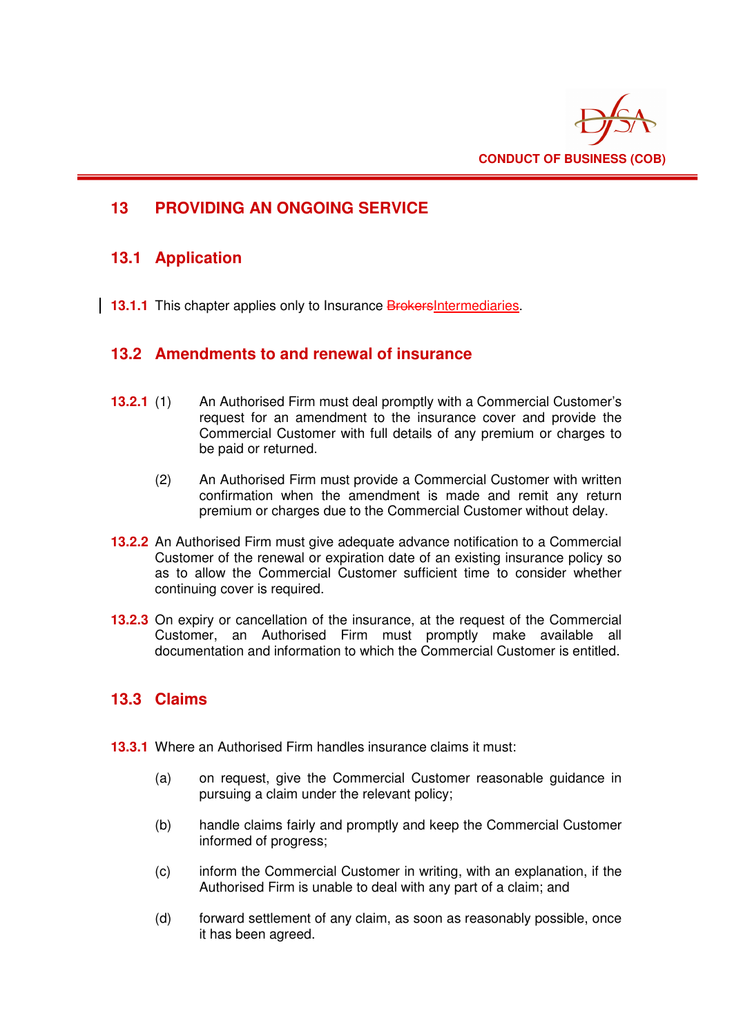

## **13 PROVIDING AN ONGOING SERVICE**

### **13.1 Application**

**13.1.1** This chapter applies only to Insurance **BrokersIntermediaries**.

### **13.2 Amendments to and renewal of insurance**

- **13.2.1** (1) An Authorised Firm must deal promptly with a Commercial Customer's request for an amendment to the insurance cover and provide the Commercial Customer with full details of any premium or charges to be paid or returned.
	- (2) An Authorised Firm must provide a Commercial Customer with written confirmation when the amendment is made and remit any return premium or charges due to the Commercial Customer without delay.
- **13.2.2** An Authorised Firm must give adequate advance notification to a Commercial Customer of the renewal or expiration date of an existing insurance policy so as to allow the Commercial Customer sufficient time to consider whether continuing cover is required.
- **13.2.3** On expiry or cancellation of the insurance, at the request of the Commercial Customer, an Authorised Firm must promptly make available all documentation and information to which the Commercial Customer is entitled.

### **13.3 Claims**

- **13.3.1** Where an Authorised Firm handles insurance claims it must:
	- (a) on request, give the Commercial Customer reasonable guidance in pursuing a claim under the relevant policy;
	- (b) handle claims fairly and promptly and keep the Commercial Customer informed of progress;
	- (c) inform the Commercial Customer in writing, with an explanation, if the Authorised Firm is unable to deal with any part of a claim; and
	- (d) forward settlement of any claim, as soon as reasonably possible, once it has been agreed.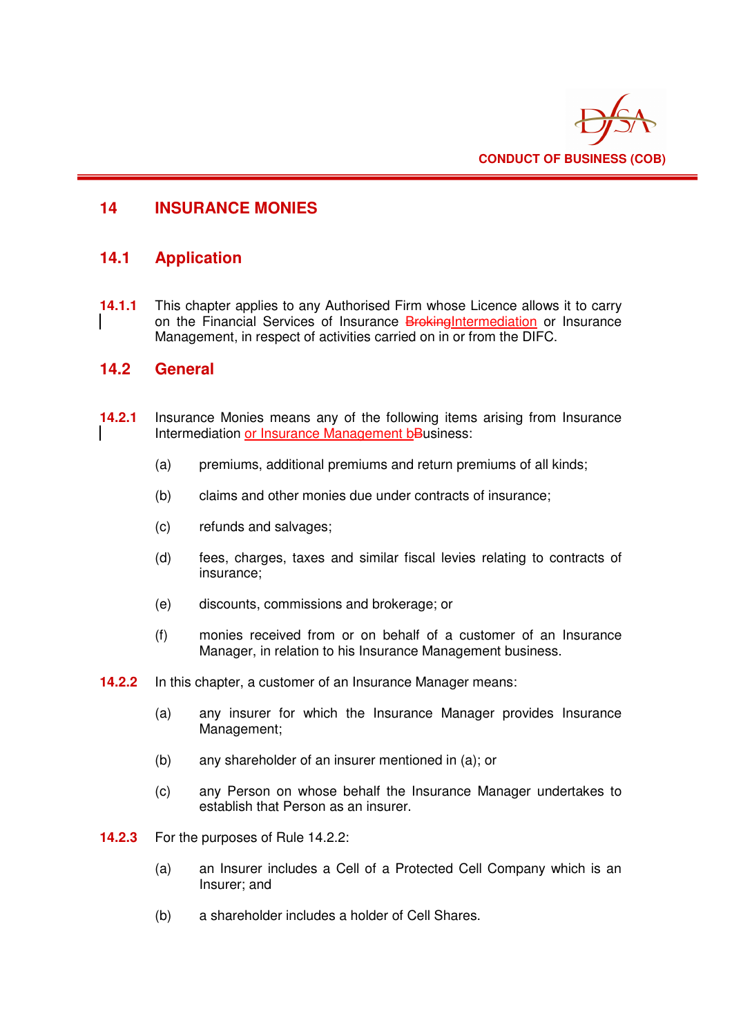

## **14 INSURANCE MONIES**

### **14.1 Application**

**14.1.1** This chapter applies to any Authorised Firm whose Licence allows it to carry on the Financial Services of Insurance BrokingIntermediation or Insurance Management, in respect of activities carried on in or from the DIFC.

### **14.2 General**

- **14.2.1** Insurance Monies means any of the following items arising from Insurance Intermediation or Insurance Management bBusiness:
	- (a) premiums, additional premiums and return premiums of all kinds;
	- (b) claims and other monies due under contracts of insurance;
	- (c) refunds and salvages;
	- (d) fees, charges, taxes and similar fiscal levies relating to contracts of insurance;
	- (e) discounts, commissions and brokerage; or
	- (f) monies received from or on behalf of a customer of an Insurance Manager, in relation to his Insurance Management business.
- **14.2.2** In this chapter, a customer of an Insurance Manager means:
	- (a) any insurer for which the Insurance Manager provides Insurance Management;
	- (b) any shareholder of an insurer mentioned in (a); or
	- (c) any Person on whose behalf the Insurance Manager undertakes to establish that Person as an insurer.
- **14.2.3** For the purposes of Rule 14.2.2:
	- (a) an Insurer includes a Cell of a Protected Cell Company which is an Insurer; and
	- (b) a shareholder includes a holder of Cell Shares.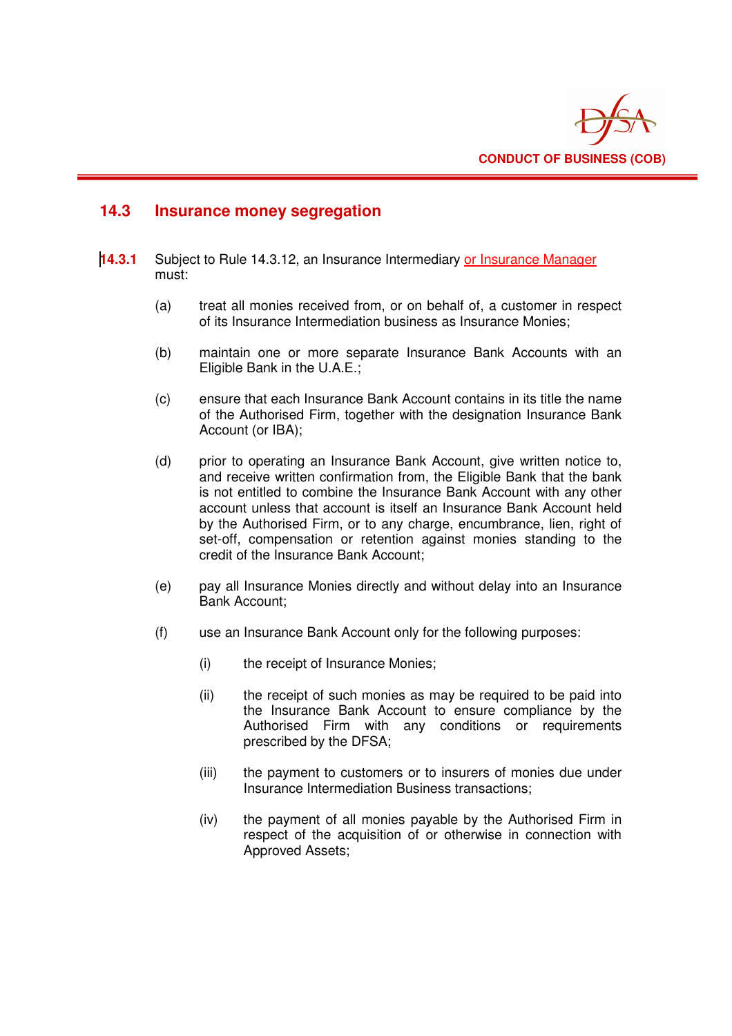

### **14.3 Insurance money segregation**

- **14.3.1** Subject to Rule 14.3.12, an Insurance Intermediary or Insurance Manager must:
	- (a) treat all monies received from, or on behalf of, a customer in respect of its Insurance Intermediation business as Insurance Monies;
	- (b) maintain one or more separate Insurance Bank Accounts with an Eligible Bank in the U.A.E.;
	- (c) ensure that each Insurance Bank Account contains in its title the name of the Authorised Firm, together with the designation Insurance Bank Account (or IBA);
	- (d) prior to operating an Insurance Bank Account, give written notice to, and receive written confirmation from, the Eligible Bank that the bank is not entitled to combine the Insurance Bank Account with any other account unless that account is itself an Insurance Bank Account held by the Authorised Firm, or to any charge, encumbrance, lien, right of set-off, compensation or retention against monies standing to the credit of the Insurance Bank Account;
	- (e) pay all Insurance Monies directly and without delay into an Insurance Bank Account;
	- (f) use an Insurance Bank Account only for the following purposes:
		- (i) the receipt of Insurance Monies;
		- (ii) the receipt of such monies as may be required to be paid into the Insurance Bank Account to ensure compliance by the Authorised Firm with any conditions or requirements prescribed by the DFSA;
		- (iii) the payment to customers or to insurers of monies due under Insurance Intermediation Business transactions;
		- (iv) the payment of all monies payable by the Authorised Firm in respect of the acquisition of or otherwise in connection with Approved Assets;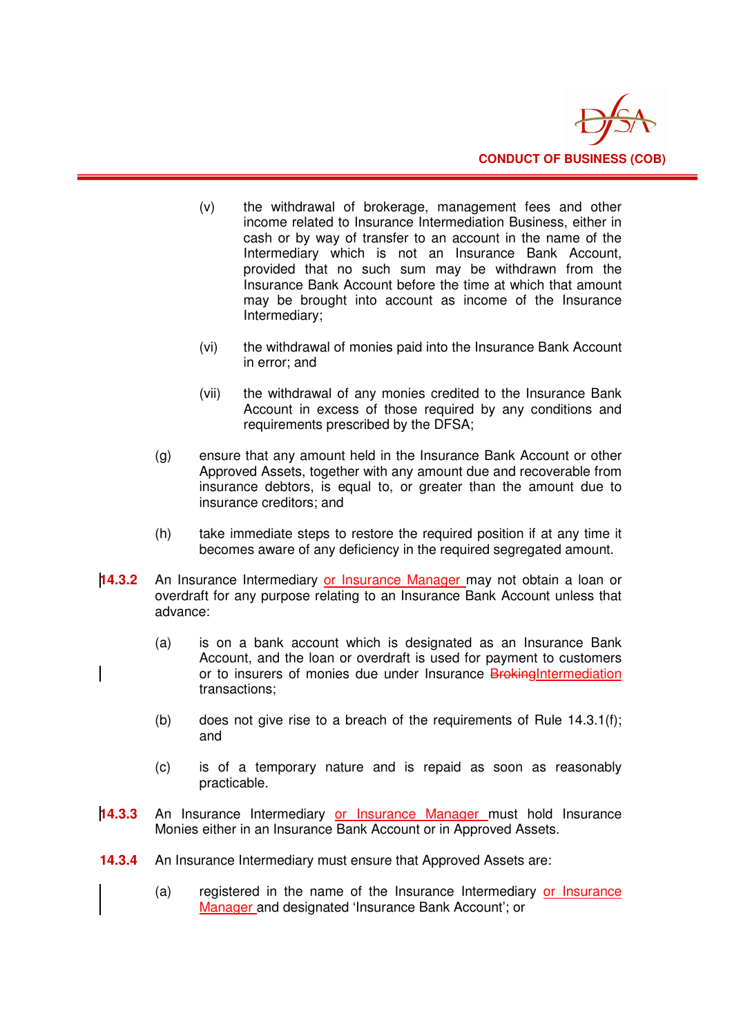

- (v) the withdrawal of brokerage, management fees and other income related to Insurance Intermediation Business, either in cash or by way of transfer to an account in the name of the Intermediary which is not an Insurance Bank Account, provided that no such sum may be withdrawn from the Insurance Bank Account before the time at which that amount may be brought into account as income of the Insurance Intermediary;
- (vi) the withdrawal of monies paid into the Insurance Bank Account in error; and
- (vii) the withdrawal of any monies credited to the Insurance Bank Account in excess of those required by any conditions and requirements prescribed by the DFSA;
- (g) ensure that any amount held in the Insurance Bank Account or other Approved Assets, together with any amount due and recoverable from insurance debtors, is equal to, or greater than the amount due to insurance creditors; and
- (h) take immediate steps to restore the required position if at any time it becomes aware of any deficiency in the required segregated amount.
- **14.3.2** An Insurance Intermediary or Insurance Manager may not obtain a loan or overdraft for any purpose relating to an Insurance Bank Account unless that advance:
	- (a) is on a bank account which is designated as an Insurance Bank Account, and the loan or overdraft is used for payment to customers or to insurers of monies due under Insurance **BrokingIntermediation** transactions;
		- (b) does not give rise to a breach of the requirements of Rule 14.3.1(f); and
		- (c) is of a temporary nature and is repaid as soon as reasonably practicable.
- **14.3.3** An Insurance Intermediary or Insurance Manager must hold Insurance Monies either in an Insurance Bank Account or in Approved Assets.
- **14.3.4** An Insurance Intermediary must ensure that Approved Assets are:
	- (a) registered in the name of the Insurance Intermediary or Insurance Manager and designated 'Insurance Bank Account'; or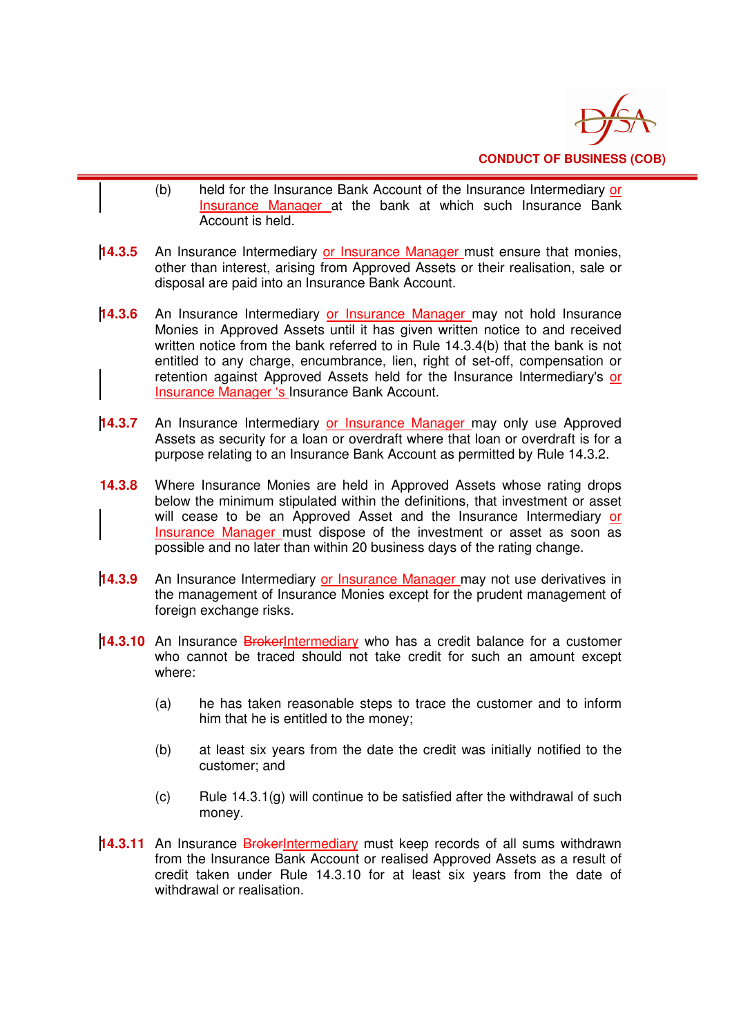

- (b) held for the Insurance Bank Account of the Insurance Intermediary or Insurance Manager at the bank at which such Insurance Bank Account is held.
- **14.3.5** An Insurance Intermediary or Insurance Manager must ensure that monies, other than interest, arising from Approved Assets or their realisation, sale or disposal are paid into an Insurance Bank Account.
- **14.3.6** An Insurance Intermediary or Insurance Manager may not hold Insurance Monies in Approved Assets until it has given written notice to and received written notice from the bank referred to in Rule 14.3.4(b) that the bank is not entitled to any charge, encumbrance, lien, right of set-off, compensation or retention against Approved Assets held for the Insurance Intermediary's or Insurance Manager 's Insurance Bank Account.
- **14.3.7** An Insurance Intermediary or Insurance Manager may only use Approved Assets as security for a loan or overdraft where that loan or overdraft is for a purpose relating to an Insurance Bank Account as permitted by Rule 14.3.2.
- **14.3.8** Where Insurance Monies are held in Approved Assets whose rating drops below the minimum stipulated within the definitions, that investment or asset will cease to be an Approved Asset and the Insurance Intermediary or Insurance Manager must dispose of the investment or asset as soon as possible and no later than within 20 business days of the rating change.
- **14.3.9** An Insurance Intermediary or Insurance Manager may not use derivatives in the management of Insurance Monies except for the prudent management of foreign exchange risks.
- **14.3.10** An Insurance BrokerIntermediary who has a credit balance for a customer who cannot be traced should not take credit for such an amount except where:
	- (a) he has taken reasonable steps to trace the customer and to inform him that he is entitled to the money;
	- (b) at least six years from the date the credit was initially notified to the customer; and
	- (c) Rule  $14.3.1(g)$  will continue to be satisfied after the withdrawal of such money.
- **14.3.11** An Insurance BrokerIntermediary must keep records of all sums withdrawn from the Insurance Bank Account or realised Approved Assets as a result of credit taken under Rule 14.3.10 for at least six years from the date of withdrawal or realisation.